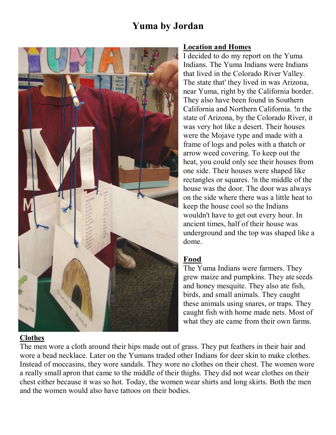# **Yuma by Jordan**



#### **Location and Homes**

I decided to do my report on the Yuma Indians. The Yuma Indians were Indians that lived in the Colorado River Valley. The state that' they lived in was Arizona, near Yuma, right by the California border. They also have been found in Southern California and Northern California. !n the state of Arizona, by the Colorado River, it was very hot like a desert. Their houses were the Mojave type and made with a frame of logs and poles with a thatch or arrow weed covering. To keep out the heat, you could only see their houses from one side. Their houses were shaped like rectangles or squares. !n the middle of the house was the door. The door was always on the side where there was a little heat to keep the house cool so the Indians wouldn't have to get out every hour. In ancient times, half of their house was underground and the top was shaped like a dome.

## **Food**

The Yuma Indians were farmers. They grew maize and pumpkins. They ate seeds and honey mesquite. They also ate fish, birds, and small animals. They caught these animals using snares, or traps. They caught fish with home made nets. Most of what they ate came from their own farms.

# **Clothes**

The men wore a cloth around their hips made out of grass. They put feathers in their hair and wore a bead necklace. Later on the Yumans traded other Indians for deer skin to make clothes. Instead of moccasins, they wore sandals. They wore no clothes on their chest. The women wore a really small apron that came to the middle of their thighs. They did not wear clothes on their chest either because it was so hot. Today, the women wear shirts and long skirts. Both the men and the women would also have tattoos on their bodies.